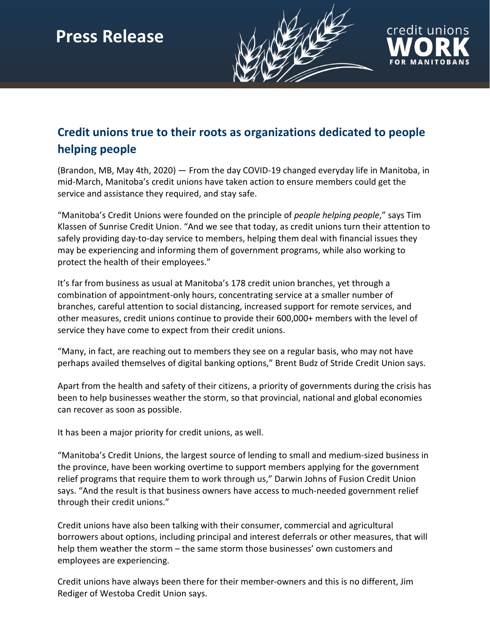## **Press Release**





## **Credit unions true to their roots as organizations dedicated to people helping people**

(Brandon, MB, May 4th, 2020) — From the day COVID-19 changed everyday life in Manitoba, in mid-March, Manitoba's credit unions have taken action to ensure members could get the service and assistance they required, and stay safe.

"Manitoba's Credit Unions were founded on the principle of *people helping people*," says Tim Klassen of Sunrise Credit Union. "And we see that today, as credit unions turn their attention to safely providing day-to-day service to members, helping them deal with financial issues they may be experiencing and informing them of government programs, while also working to protect the health of their employees."

It's far from business as usual at Manitoba's 178 credit union branches, yet through a combination of appointment-only hours, concentrating service at a smaller number of branches, careful attention to social distancing, increased support for remote services, and other measures, credit unions continue to provide their 600,000+ members with the level of service they have come to expect from their credit unions.

"Many, in fact, are reaching out to members they see on a regular basis, who may not have perhaps availed themselves of digital banking options," Brent Budz of Stride Credit Union says.

Apart from the health and safety of their citizens, a priority of governments during the crisis has been to help businesses weather the storm, so that provincial, national and global economies can recover as soon as possible.

It has been a major priority for credit unions, as well.

"Manitoba's Credit Unions, the largest source of lending to small and medium-sized business in the province, have been working overtime to support members applying for the government relief programs that require them to work through us," Darwin Johns of Fusion Credit Union says. "And the result is that business owners have access to much-needed government relief through their credit unions."

Credit unions have also been talking with their consumer, commercial and agricultural borrowers about options, including principal and interest deferrals or other measures, that will help them weather the storm – the same storm those businesses' own customers and employees are experiencing.

Credit unions have always been there for their member-owners and this is no different, Jim Rediger of Westoba Credit Union says.